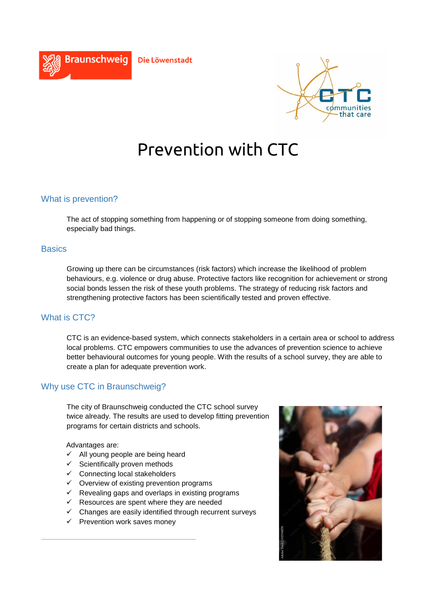



# Prevention with CTC

# What is prevention?

The act of stopping something from happening or of stopping someone from doing something, especially bad things.

#### **Basics**

Growing up there can be circumstances (risk factors) which increase the likelihood of problem behaviours, e.g. violence or drug abuse. Protective factors like recognition for achievement or strong social bonds lessen the risk of these youth problems. The strategy of reducing risk factors and strengthening protective factors has been scientifically tested and proven effective.

### What is CTC?

CTC is an evidence-based system, which connects stakeholders in a certain area or school to address local problems. CTC empowers communities to use the advances of prevention science to achieve better behavioural outcomes for young people. With the results of a school survey, they are able to create a plan for adequate prevention work.

# Why use CTC in Braunschweig?

The city of Braunschweig conducted the CTC school survey twice already. The results are used to develop fitting prevention programs for certain districts and schools.

#### Advantages are:

- $\checkmark$  All young people are being heard
- $\checkmark$  Scientifically proven methods
- $\checkmark$  Connecting local stakeholders
- $\checkmark$  Overview of existing prevention programs
- $\checkmark$  Revealing gaps and overlaps in existing programs
- $\checkmark$  Resources are spent where they are needed
- $\checkmark$  Changes are easily identified through recurrent surveys
- $\checkmark$  Prevention work saves money